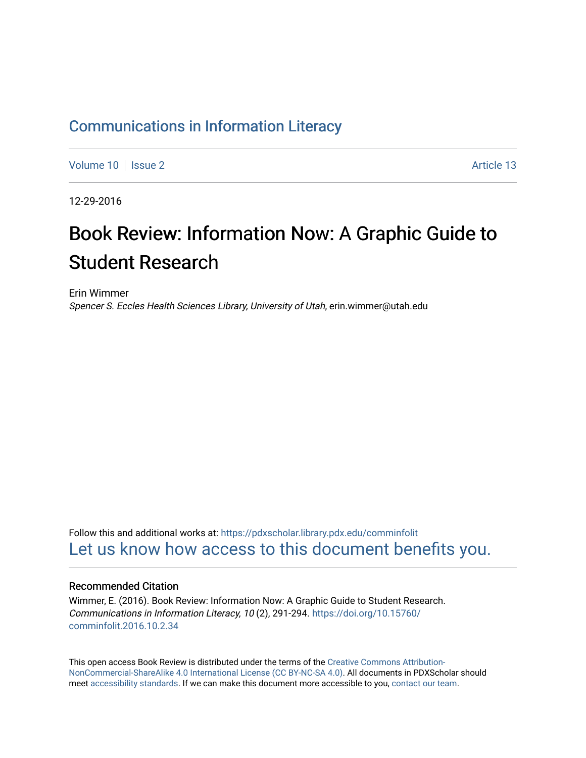### [Communications in Information Literacy](https://pdxscholar.library.pdx.edu/comminfolit)

[Volume 10](https://pdxscholar.library.pdx.edu/comminfolit/vol10) | [Issue 2](https://pdxscholar.library.pdx.edu/comminfolit/vol10/iss2) Article 13

12-29-2016

# Book Review: Information Now: A Graphic Guide to Student Research

Erin Wimmer Spencer S. Eccles Health Sciences Library, University of Utah, erin.wimmer@utah.edu

Follow this and additional works at: [https://pdxscholar.library.pdx.edu/comminfolit](https://pdxscholar.library.pdx.edu/comminfolit?utm_source=pdxscholar.library.pdx.edu%2Fcomminfolit%2Fvol10%2Fiss2%2F13&utm_medium=PDF&utm_campaign=PDFCoverPages)  [Let us know how access to this document benefits you.](http://library.pdx.edu/services/pdxscholar-services/pdxscholar-feedback/) 

#### Recommended Citation

Wimmer, E. (2016). Book Review: Information Now: A Graphic Guide to Student Research. Communications in Information Literacy, 10 (2), 291-294. [https://doi.org/10.15760/](https://doi.org/10.15760/comminfolit.2016.10.2.34) [comminfolit.2016.10.2.34](https://doi.org/10.15760/comminfolit.2016.10.2.34) 

This open access Book Review is distributed under the terms of the [Creative Commons Attribution-](https://creativecommons.org/licenses/by-nc-sa/4.0/)[NonCommercial-ShareAlike 4.0 International License \(CC BY-NC-SA 4.0\)](https://creativecommons.org/licenses/by-nc-sa/4.0/). All documents in PDXScholar should meet [accessibility standards](https://pdxscholar.library.pdx.edu/accessibility.html). If we can make this document more accessible to you, [contact our team.](mailto:pdxscholar@pdx.edu)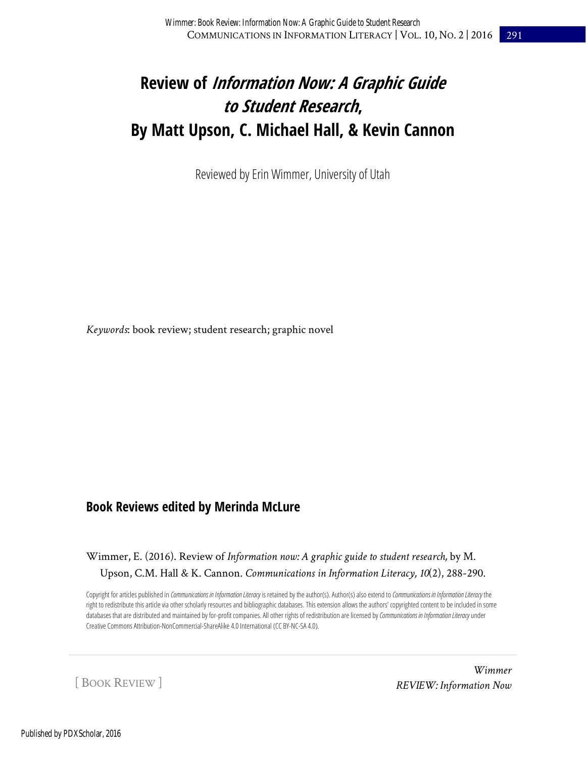## **Review of Information Now: A Graphic Guide to Student Research, By Matt Upson, C. Michael Hall, & Kevin Cannon**

Reviewed by Erin Wimmer, University of Utah

*Keywords*: book review; student research; graphic novel

### **Book Reviews edited by Merinda McLure**

Wimmer, E. (2016). Review of *Information now: A graphic guide to student research,* by M. Upson, C.M. Hall & K. Cannon. *Communications in Information Literacy, 10*(2), 288-290.

Copyright for articles published in *Communications in Information Literacy* is retained by the author(s). Author(s) also extend to *Communications in Information Literacy* the right to redistribute this article via other scholarly resources and bibliographic databases. This extension allows the authors' copyrighted content to be included in some databases that are distributed and maintained by for-profit companies. All other rights of redistribution are licensed by Communications in Information Literacy under Creative Commons Attribution-NonCommercial-ShareAlike 4.0 International (CC BY-NC-SA 4.0).

[ BOOK REVIEW ]

*Wimmer REVIEW: Information Now*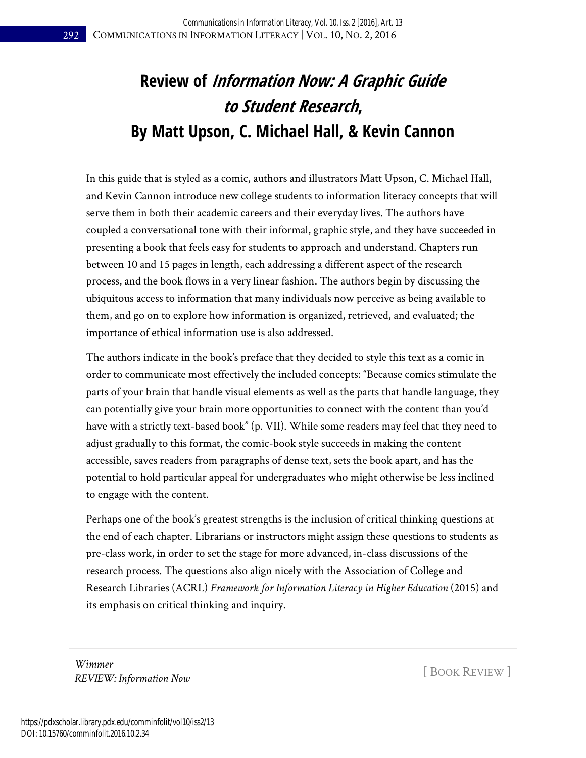# **Review of Information Now: A Graphic Guide to Student Research, By Matt Upson, C. Michael Hall, & Kevin Cannon**

In this guide that is styled as a comic, authors and illustrators Matt Upson, C. Michael Hall, and Kevin Cannon introduce new college students to information literacy concepts that will serve them in both their academic careers and their everyday lives. The authors have coupled a conversational tone with their informal, graphic style, and they have succeeded in presenting a book that feels easy for students to approach and understand. Chapters run between 10 and 15 pages in length, each addressing a different aspect of the research process, and the book flows in a very linear fashion. The authors begin by discussing the ubiquitous access to information that many individuals now perceive as being available to them, and go on to explore how information is organized, retrieved, and evaluated; the importance of ethical information use is also addressed.

The authors indicate in the book's preface that they decided to style this text as a comic in order to communicate most effectively the included concepts: "Because comics stimulate the parts of your brain that handle visual elements as well as the parts that handle language, they can potentially give your brain more opportunities to connect with the content than you'd have with a strictly text-based book" (p. VII). While some readers may feel that they need to adjust gradually to this format, the comic-book style succeeds in making the content accessible, saves readers from paragraphs of dense text, sets the book apart, and has the potential to hold particular appeal for undergraduates who might otherwise be less inclined to engage with the content.

Perhaps one of the book's greatest strengths is the inclusion of critical thinking questions at the end of each chapter. Librarians or instructors might assign these questions to students as pre-class work, in order to set the stage for more advanced, in-class discussions of the research process. The questions also align nicely with the Association of College and Research Libraries (ACRL) *Framework for Information Literacy in Higher Education* (2015) and its emphasis on critical thinking and inquiry.

*Wimmer REVIEW: Information Now* [ BOOK REVIEW ]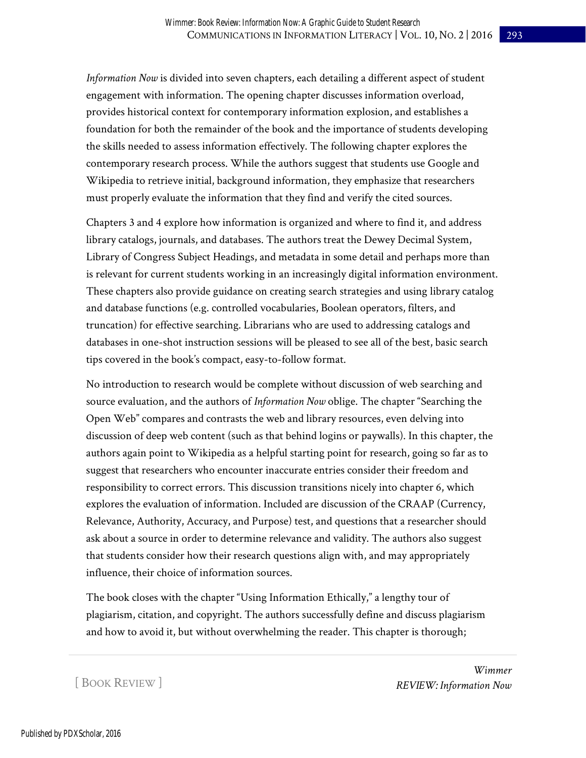*Information Now* is divided into seven chapters, each detailing a different aspect of student engagement with information. The opening chapter discusses information overload, provides historical context for contemporary information explosion, and establishes a foundation for both the remainder of the book and the importance of students developing the skills needed to assess information effectively. The following chapter explores the contemporary research process. While the authors suggest that students use Google and Wikipedia to retrieve initial, background information, they emphasize that researchers must properly evaluate the information that they find and verify the cited sources.

Chapters 3 and 4 explore how information is organized and where to find it, and address library catalogs, journals, and databases. The authors treat the Dewey Decimal System, Library of Congress Subject Headings, and metadata in some detail and perhaps more than is relevant for current students working in an increasingly digital information environment. These chapters also provide guidance on creating search strategies and using library catalog and database functions (e.g. controlled vocabularies, Boolean operators, filters, and truncation) for effective searching. Librarians who are used to addressing catalogs and databases in one-shot instruction sessions will be pleased to see all of the best, basic search tips covered in the book's compact, easy-to-follow format.

No introduction to research would be complete without discussion of web searching and source evaluation, and the authors of *Information Now* oblige. The chapter "Searching the Open Web" compares and contrasts the web and library resources, even delving into discussion of deep web content (such as that behind logins or paywalls). In this chapter, the authors again point to Wikipedia as a helpful starting point for research, going so far as to suggest that researchers who encounter inaccurate entries consider their freedom and responsibility to correct errors. This discussion transitions nicely into chapter 6, which explores the evaluation of information. Included are discussion of the CRAAP (Currency, Relevance, Authority, Accuracy, and Purpose) test, and questions that a researcher should ask about a source in order to determine relevance and validity. The authors also suggest that students consider how their research questions align with, and may appropriately influence, their choice of information sources.

The book closes with the chapter "Using Information Ethically," a lengthy tour of plagiarism, citation, and copyright. The authors successfully define and discuss plagiarism and how to avoid it, but without overwhelming the reader. This chapter is thorough;

[ BOOK REVIEW ]

*Wimmer REVIEW: Information Now*